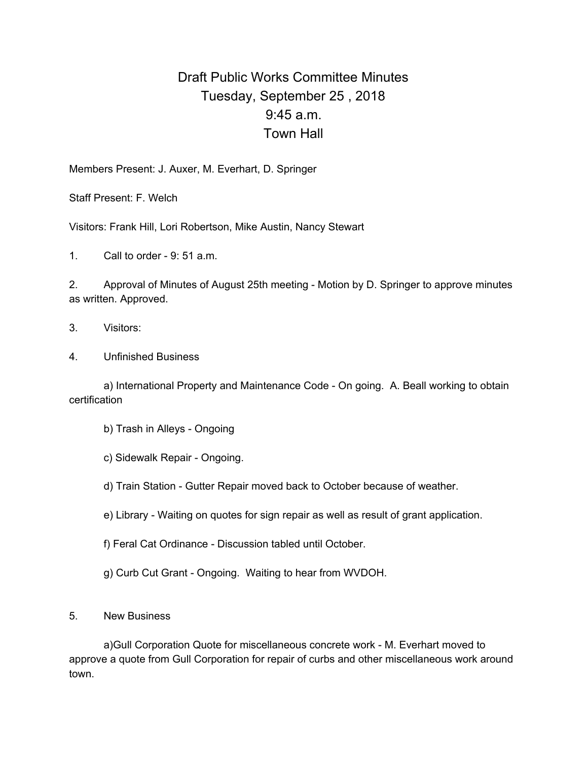## Draft Public Works Committee Minutes Tuesday, September 25 , 2018 9:45 a.m. Town Hall

Members Present: J. Auxer, M. Everhart, D. Springer

Staff Present: F. Welch

Visitors: Frank Hill, Lori Robertson, Mike Austin, Nancy Stewart

1. Call to order - 9: 51 a.m.

2. Approval of Minutes of August 25th meeting - Motion by D. Springer to approve minutes as written. Approved.

- 3. Visitors:
- 4. Unfinished Business

a) International Property and Maintenance Code - On going. A. Beall working to obtain certification

- b) Trash in Alleys Ongoing
- c) Sidewalk Repair Ongoing.
- d) Train Station Gutter Repair moved back to October because of weather.
- e) Library Waiting on quotes for sign repair as well as result of grant application.
- f) Feral Cat Ordinance Discussion tabled until October.

g) Curb Cut Grant - Ongoing. Waiting to hear from WVDOH.

5. New Business

a)Gull Corporation Quote for miscellaneous concrete work - M. Everhart moved to approve a quote from Gull Corporation for repair of curbs and other miscellaneous work around town.